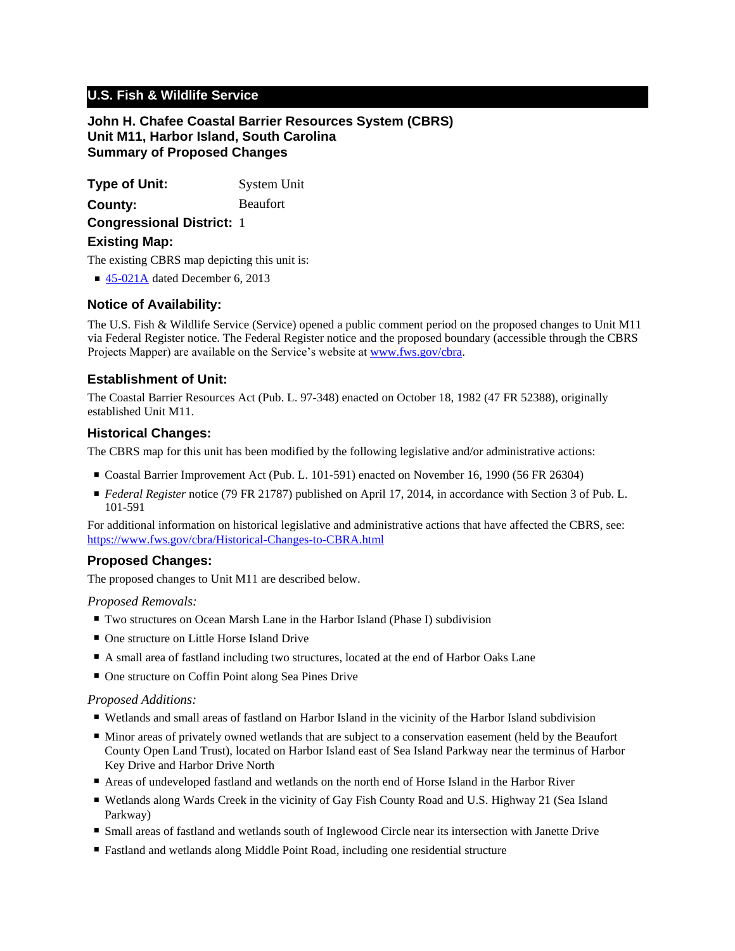# **U.S. Fish & Wildlife Service**

**John H. Chafee Coastal Barrier Resources System (CBRS) Unit M11, Harbor Island, South Carolina Summary of Proposed Changes**

**Type of Unit:** System Unit **Congressional District:** 1 **County:** Beaufort **Existing Map:**

The existing CBRS map depicting this unit is:

■ [45-021A](http://www.fws.gov/cbra/maps/effective/45-021A.pdf) dated December 6, 2013

## **Notice of Availability:**

The U.S. Fish & Wildlife Service (Service) opened a public comment period on the proposed changes to Unit M11 via Federal Register notice. The Federal Register notice and the proposed boundary (accessible through the CBRS Projects Mapper) are available on the Service's website at www.fws.gov/cbra.

## **Establishment of Unit:**

The Coastal Barrier Resources Act (Pub. L. 97-348) enacted on October 18, 1982 (47 FR 52388), originally established Unit M11.

## **Historical Changes:**

The CBRS map for this unit has been modified by the following legislative and/or administrative actions:

- Coastal Barrier Improvement Act (Pub. L. 101-591) enacted on November 16, 1990 (56 FR 26304)
- *Federal Register* notice (79 FR 21787) published on April 17, 2014, in accordance with Section 3 of Pub. L. 101-591

For additional information on historical legislative and administrative actions that have affected the CBRS, see: <https://www.fws.gov/cbra/Historical-Changes-to-CBRA.html>

# **Proposed Changes:**

The proposed changes to Unit M11 are described below.

## *Proposed Removals:*

- Two structures on Ocean Marsh Lane in the Harbor Island (Phase I) subdivision
- One structure on Little Horse Island Drive
- A small area of fastland including two structures, located at the end of Harbor Oaks Lane
- One structure on Coffin Point along Sea Pines Drive

#### *Proposed Additions:*

- Wetlands and small areas of fastland on Harbor Island in the vicinity of the Harbor Island subdivision
- Minor areas of privately owned wetlands that are subject to a conservation easement (held by the Beaufort County Open Land Trust), located on Harbor Island east of Sea Island Parkway near the terminus of Harbor Key Drive and Harbor Drive North
- Areas of undeveloped fastland and wetlands on the north end of Horse Island in the Harbor River
- Wetlands along Wards Creek in the vicinity of Gay Fish County Road and U.S. Highway 21 (Sea Island Parkway)
- Small areas of fastland and wetlands south of Inglewood Circle near its intersection with Janette Drive
- Fastland and wetlands along Middle Point Road, including one residential structure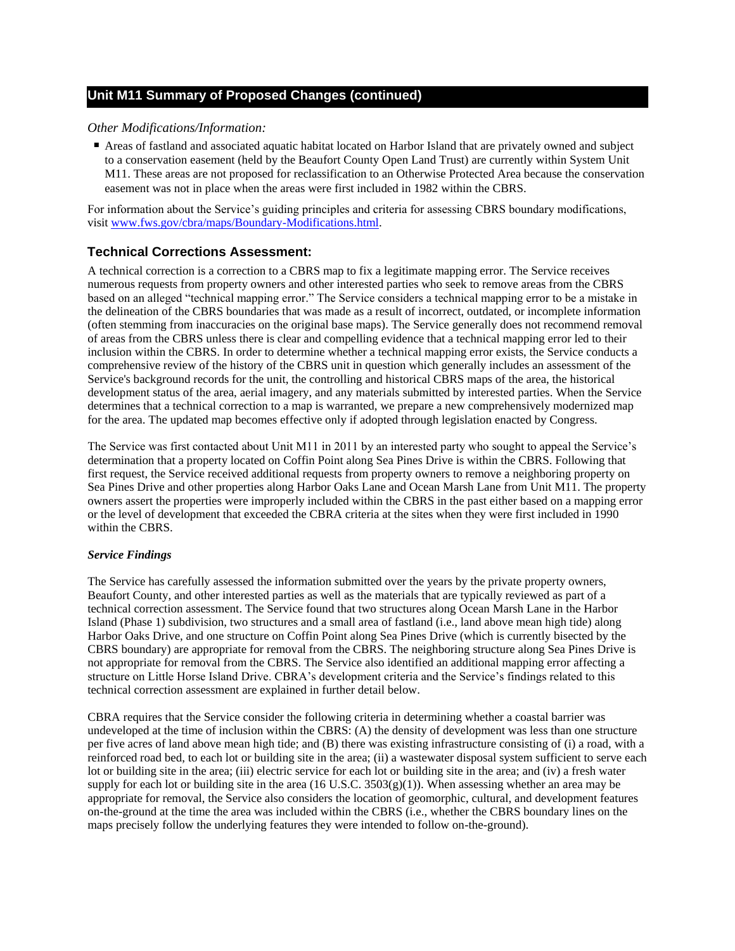*Other Modifications/Information:*

■ Areas of fastland and associated aquatic habitat located on Harbor Island that are privately owned and subject to a conservation easement (held by the Beaufort County Open Land Trust) are currently within System Unit M11. These areas are not proposed for reclassification to an Otherwise Protected Area because the conservation easement was not in place when the areas were first included in 1982 within the CBRS.

For information about the Service's guiding principles and criteria for assessing CBRS boundary modifications, visit www.fws.gov/cbra/maps/Boundary-Modifications.html.

# **Technical Corrections Assessment:**

A technical correction is a correction to a CBRS map to fix a legitimate mapping error. The Service receives numerous requests from property owners and other interested parties who seek to remove areas from the CBRS based on an alleged "technical mapping error." The Service considers a technical mapping error to be a mistake in the delineation of the CBRS boundaries that was made as a result of incorrect, outdated, or incomplete information (often stemming from inaccuracies on the original base maps). The Service generally does not recommend removal of areas from the CBRS unless there is clear and compelling evidence that a technical mapping error led to their inclusion within the CBRS. In order to determine whether a technical mapping error exists, the Service conducts a comprehensive review of the history of the CBRS unit in question which generally includes an assessment of the Service's background records for the unit, the controlling and historical CBRS maps of the area, the historical development status of the area, aerial imagery, and any materials submitted by interested parties. When the Service determines that a technical correction to a map is warranted, we prepare a new comprehensively modernized map for the area. The updated map becomes effective only if adopted through legislation enacted by Congress.

The Service was first contacted about Unit M11 in 2011 by an interested party who sought to appeal the Service's determination that a property located on Coffin Point along Sea Pines Drive is within the CBRS. Following that first request, the Service received additional requests from property owners to remove a neighboring property on Sea Pines Drive and other properties along Harbor Oaks Lane and Ocean Marsh Lane from Unit M11. The property owners assert the properties were improperly included within the CBRS in the past either based on a mapping error or the level of development that exceeded the CBRA criteria at the sites when they were first included in 1990 within the CBRS.

## *Service Findings*

The Service has carefully assessed the information submitted over the years by the private property owners, Beaufort County, and other interested parties as well as the materials that are typically reviewed as part of a technical correction assessment. The Service found that two structures along Ocean Marsh Lane in the Harbor Island (Phase 1) subdivision, two structures and a small area of fastland (i.e., land above mean high tide) along Harbor Oaks Drive, and one structure on Coffin Point along Sea Pines Drive (which is currently bisected by the CBRS boundary) are appropriate for removal from the CBRS. The neighboring structure along Sea Pines Drive is not appropriate for removal from the CBRS. The Service also identified an additional mapping error affecting a structure on Little Horse Island Drive. CBRA's development criteria and the Service's findings related to this technical correction assessment are explained in further detail below.

CBRA requires that the Service consider the following criteria in determining whether a coastal barrier was undeveloped at the time of inclusion within the CBRS: (A) the density of development was less than one structure per five acres of land above mean high tide; and (B) there was existing infrastructure consisting of (i) a road, with a reinforced road bed, to each lot or building site in the area; (ii) a wastewater disposal system sufficient to serve each lot or building site in the area; (iii) electric service for each lot or building site in the area; and (iv) a fresh water supply for each lot or building site in the area (16 U.S.C.  $3503(g)(1)$ ). When assessing whether an area may be appropriate for removal, the Service also considers the location of geomorphic, cultural, and development features on-the-ground at the time the area was included within the CBRS (i.e., whether the CBRS boundary lines on the maps precisely follow the underlying features they were intended to follow on-the-ground).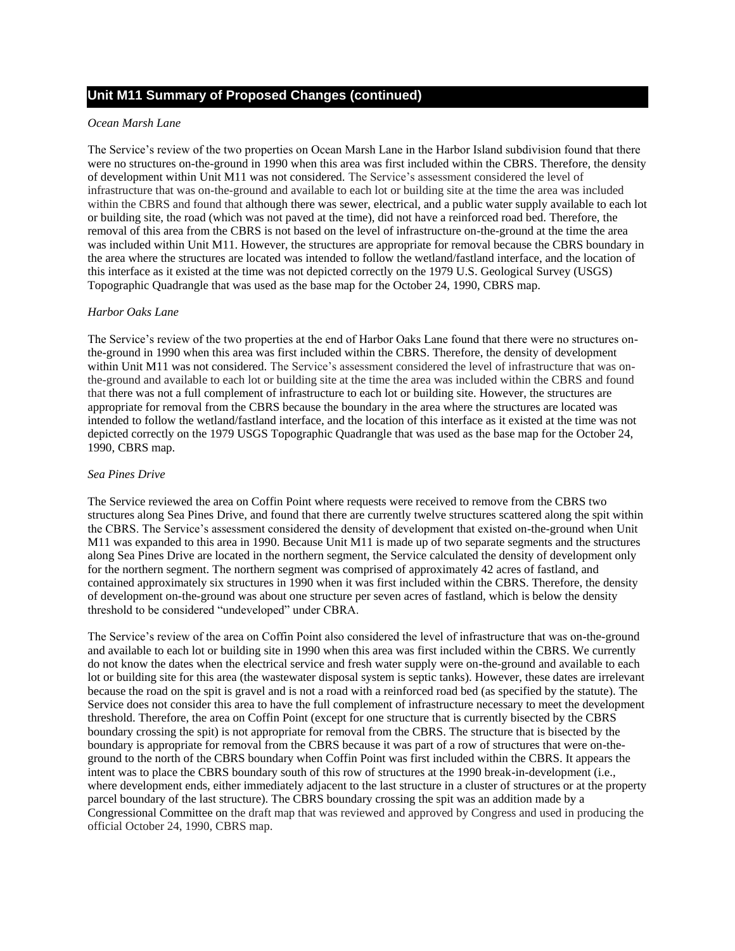#### *Ocean Marsh Lane*

The Service's review of the two properties on Ocean Marsh Lane in the Harbor Island subdivision found that there were no structures on-the-ground in 1990 when this area was first included within the CBRS. Therefore, the density of development within Unit M11 was not considered. The Service's assessment considered the level of infrastructure that was on-the-ground and available to each lot or building site at the time the area was included within the CBRS and found that although there was sewer, electrical, and a public water supply available to each lot or building site, the road (which was not paved at the time), did not have a reinforced road bed. Therefore, the removal of this area from the CBRS is not based on the level of infrastructure on-the-ground at the time the area was included within Unit M11. However, the structures are appropriate for removal because the CBRS boundary in the area where the structures are located was intended to follow the wetland/fastland interface, and the location of this interface as it existed at the time was not depicted correctly on the 1979 U.S. Geological Survey (USGS) Topographic Quadrangle that was used as the base map for the October 24, 1990, CBRS map.

#### *Harbor Oaks Lane*

The Service's review of the two properties at the end of Harbor Oaks Lane found that there were no structures onthe-ground in 1990 when this area was first included within the CBRS. Therefore, the density of development within Unit M11 was not considered. The Service's assessment considered the level of infrastructure that was onthe-ground and available to each lot or building site at the time the area was included within the CBRS and found that there was not a full complement of infrastructure to each lot or building site. However, the structures are appropriate for removal from the CBRS because the boundary in the area where the structures are located was intended to follow the wetland/fastland interface, and the location of this interface as it existed at the time was not depicted correctly on the 1979 USGS Topographic Quadrangle that was used as the base map for the October 24, 1990, CBRS map.

#### *Sea Pines Drive*

The Service reviewed the area on Coffin Point where requests were received to remove from the CBRS two structures along Sea Pines Drive, and found that there are currently twelve structures scattered along the spit within the CBRS. The Service's assessment considered the density of development that existed on-the-ground when Unit M11 was expanded to this area in 1990. Because Unit M11 is made up of two separate segments and the structures along Sea Pines Drive are located in the northern segment, the Service calculated the density of development only for the northern segment. The northern segment was comprised of approximately 42 acres of fastland, and contained approximately six structures in 1990 when it was first included within the CBRS. Therefore, the density of development on-the-ground was about one structure per seven acres of fastland, which is below the density threshold to be considered "undeveloped" under CBRA.

The Service's review of the area on Coffin Point also considered the level of infrastructure that was on-the-ground and available to each lot or building site in 1990 when this area was first included within the CBRS. We currently do not know the dates when the electrical service and fresh water supply were on-the-ground and available to each lot or building site for this area (the wastewater disposal system is septic tanks). However, these dates are irrelevant because the road on the spit is gravel and is not a road with a reinforced road bed (as specified by the statute). The Service does not consider this area to have the full complement of infrastructure necessary to meet the development threshold. Therefore, the area on Coffin Point (except for one structure that is currently bisected by the CBRS boundary crossing the spit) is not appropriate for removal from the CBRS. The structure that is bisected by the boundary is appropriate for removal from the CBRS because it was part of a row of structures that were on-theground to the north of the CBRS boundary when Coffin Point was first included within the CBRS. It appears the intent was to place the CBRS boundary south of this row of structures at the 1990 break-in-development (i.e., where development ends, either immediately adjacent to the last structure in a cluster of structures or at the property parcel boundary of the last structure). The CBRS boundary crossing the spit was an addition made by a Congressional Committee on the draft map that was reviewed and approved by Congress and used in producing the official October 24, 1990, CBRS map.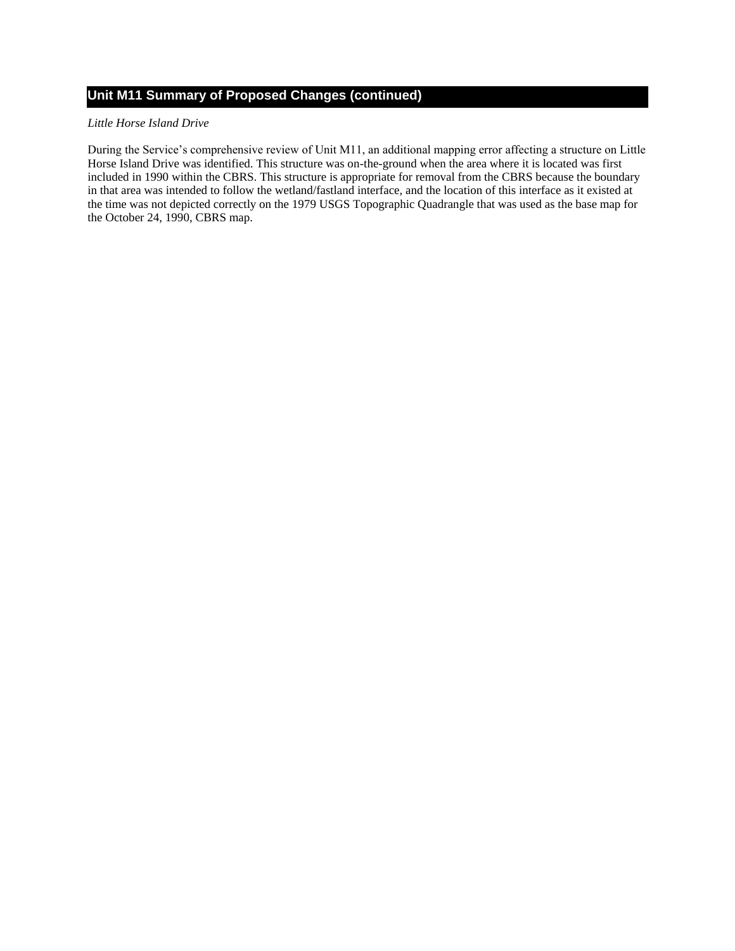### *Little Horse Island Drive*

During the Service's comprehensive review of Unit M11, an additional mapping error affecting a structure on Little Horse Island Drive was identified. This structure was on-the-ground when the area where it is located was first included in 1990 within the CBRS. This structure is appropriate for removal from the CBRS because the boundary in that area was intended to follow the wetland/fastland interface, and the location of this interface as it existed at the time was not depicted correctly on the 1979 USGS Topographic Quadrangle that was used as the base map for the October 24, 1990, CBRS map.